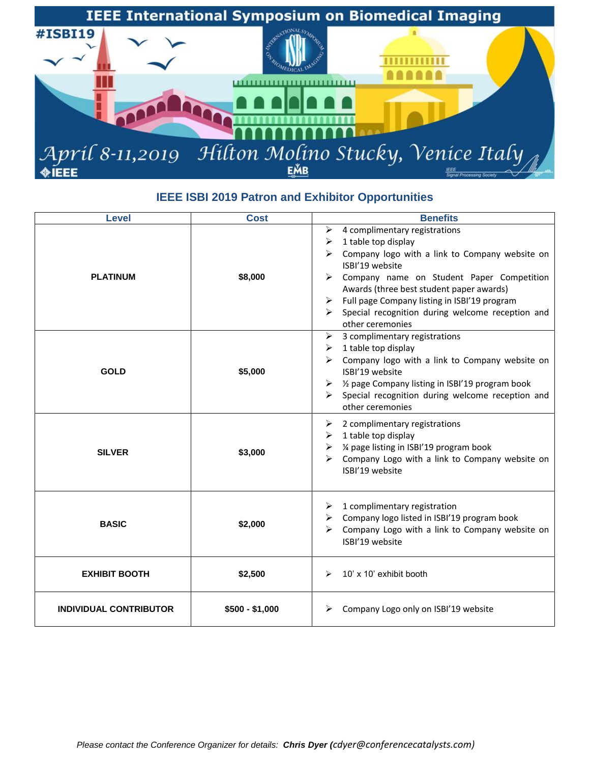

## **IEEE ISBI 2019 Patron and Exhibitor Opportunities**

| <b>Level</b>                  | <b>Cost</b>     | <b>Benefits</b>                                                                                                                                                                                                                                                                                                                                                                    |
|-------------------------------|-----------------|------------------------------------------------------------------------------------------------------------------------------------------------------------------------------------------------------------------------------------------------------------------------------------------------------------------------------------------------------------------------------------|
| <b>PLATINUM</b>               | \$8,000         | 4 complimentary registrations<br>$\blacktriangleright$<br>1 table top display<br>➤<br>Company logo with a link to Company website on<br>ISBI'19 website<br>Company name on Student Paper Competition<br>➤<br>Awards (three best student paper awards)<br>Full page Company listing in ISBI'19 program<br>➤<br>Special recognition during welcome reception and<br>other ceremonies |
| <b>GOLD</b>                   | \$5,000         | 3 complimentary registrations<br>➤<br>1 table top display<br>➤<br>Company logo with a link to Company website on<br>ISBI'19 website<br>1/2 page Company listing in ISBI'19 program book<br>≻<br>Special recognition during welcome reception and<br>➤<br>other ceremonies                                                                                                          |
| <b>SILVER</b>                 | \$3,000         | 2 complimentary registrations<br>➤<br>1 table top display<br>➤<br>1/4 page listing in ISBI'19 program book<br>➤<br>Company Logo with a link to Company website on<br>⋗<br>ISBI'19 website                                                                                                                                                                                          |
| <b>BASIC</b>                  | \$2,000         | 1 complimentary registration<br>➤<br>Company logo listed in ISBI'19 program book<br>➤<br>Company Logo with a link to Company website on<br>⋗<br>ISBI'19 website                                                                                                                                                                                                                    |
| <b>EXHIBIT BOOTH</b>          | \$2,500         | 10' x 10' exhibit booth<br>➤                                                                                                                                                                                                                                                                                                                                                       |
| <b>INDIVIDUAL CONTRIBUTOR</b> | $$500 - $1,000$ | Company Logo only on ISBI'19 website                                                                                                                                                                                                                                                                                                                                               |